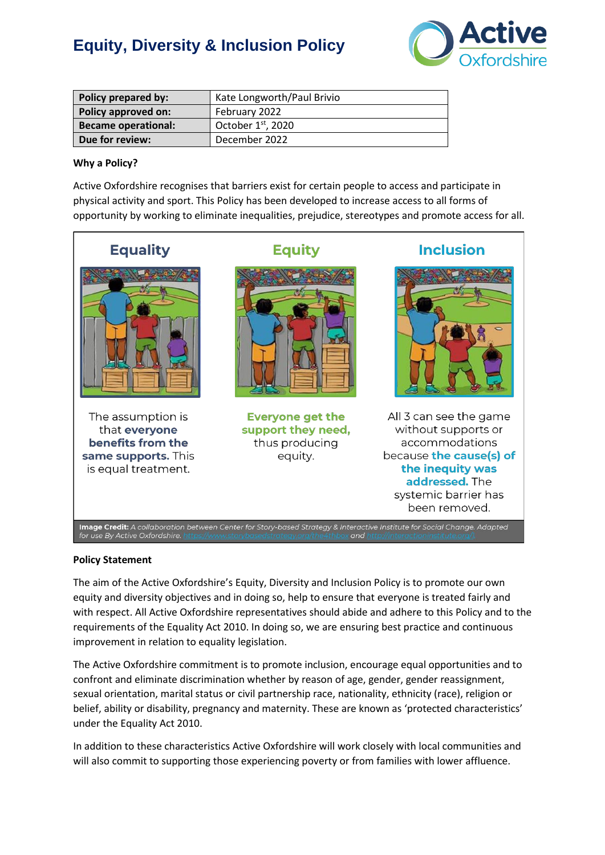

| Policy prepared by:        | Kate Longworth/Paul Brivio |
|----------------------------|----------------------------|
| Policy approved on:        | February 2022              |
| <b>Became operational:</b> | October $1st$ , 2020       |
| Due for review:            | December 2022              |

## **Why a Policy?**

Active Oxfordshire recognises that barriers exist for certain people to access and participate in physical activity and sport. This Policy has been developed to increase access to all forms of opportunity by working to eliminate inequalities, prejudice, stereotypes and promote access for all.



#### **Policy Statement**

The aim of the Active Oxfordshire's Equity, Diversity and Inclusion Policy is to promote our own equity and diversity objectives and in doing so, help to ensure that everyone is treated fairly and with respect. All Active Oxfordshire representatives should abide and adhere to this Policy and to the requirements of the Equality Act 2010. In doing so, we are ensuring best practice and continuous improvement in relation to equality legislation.

The Active Oxfordshire commitment is to promote inclusion, encourage equal opportunities and to confront and eliminate discrimination whether by reason of age, gender, gender reassignment, sexual orientation, marital status or civil partnership race, nationality, ethnicity (race), religion or belief, ability or disability, pregnancy and maternity. These are known as 'protected characteristics' under the Equality Act 2010.

In addition to these characteristics Active Oxfordshire will work closely with local communities and will also commit to supporting those experiencing poverty or from families with lower affluence.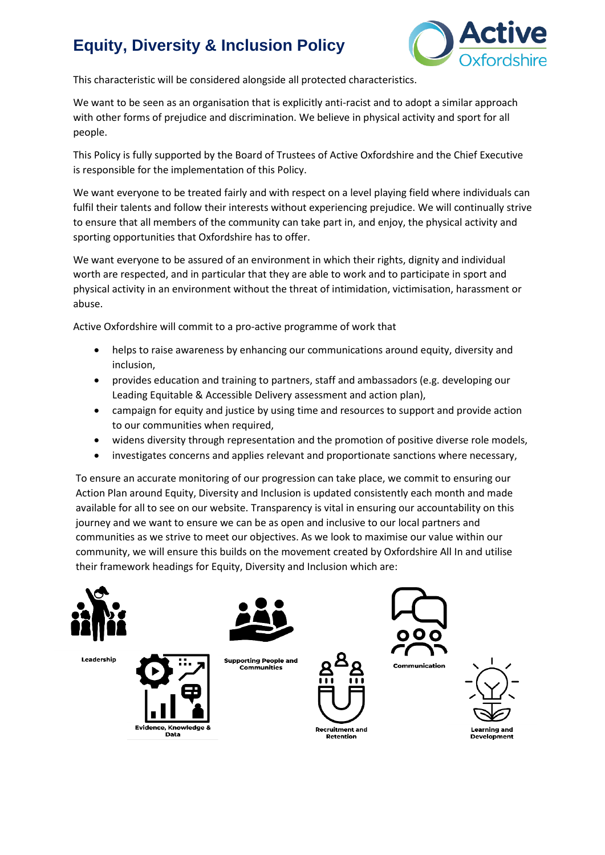

This characteristic will be considered alongside all protected characteristics.

We want to be seen as an organisation that is explicitly anti-racist and to adopt a similar approach with other forms of prejudice and discrimination. We believe in physical activity and sport for all people.

This Policy is fully supported by the Board of Trustees of Active Oxfordshire and the Chief Executive is responsible for the implementation of this Policy.

We want everyone to be treated fairly and with respect on a level playing field where individuals can fulfil their talents and follow their interests without experiencing prejudice. We will continually strive to ensure that all members of the community can take part in, and enjoy, the physical activity and sporting opportunities that Oxfordshire has to offer.

We want everyone to be assured of an environment in which their rights, dignity and individual worth are respected, and in particular that they are able to work and to participate in sport and physical activity in an environment without the threat of intimidation, victimisation, harassment or abuse.

Active Oxfordshire will commit to a pro-active programme of work that

- helps to raise awareness by enhancing our communications around equity, diversity and inclusion,
- provides education and training to partners, staff and ambassadors (e.g. developing our Leading Equitable & Accessible Delivery assessment and action plan),
- campaign for equity and justice by using time and resources to support and provide action to our communities when required,
- widens diversity through representation and the promotion of positive diverse role models,
- investigates concerns and applies relevant and proportionate sanctions where necessary,

To ensure an accurate monitoring of our progression can take place, we commit to ensuring our Action Plan around Equity, Diversity and Inclusion is updated consistently each month and made available for all to see on our website. Transparency is vital in ensuring our accountability on this journey and we want to ensure we can be as open and inclusive to our local partners and communities as we strive to meet our objectives. As we look to maximise our value within our community, we will ensure this builds on the movement created by Oxfordshire All In and utilise their framework headings for Equity, Diversity and Inclusion which are:

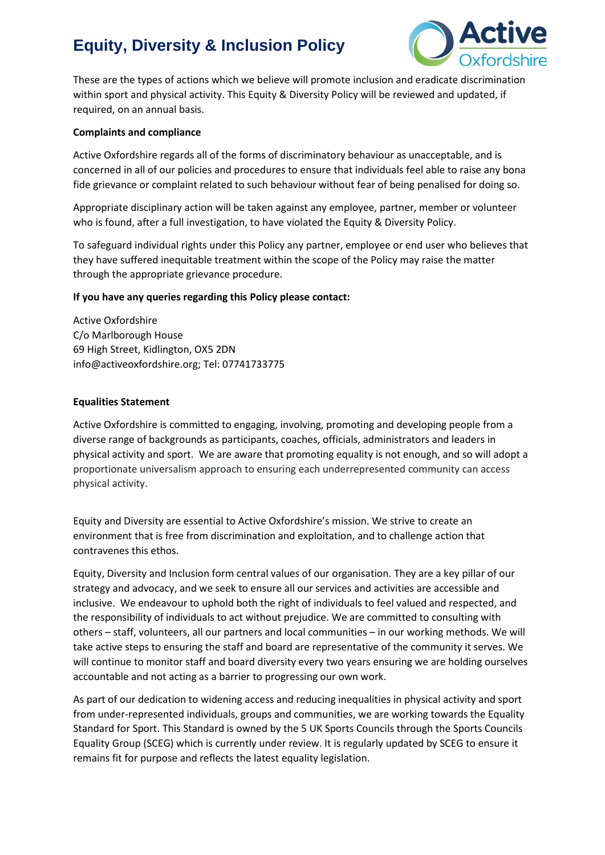

These are the types of actions which we believe will promote inclusion and eradicate discrimination within sport and physical activity. This Equity & Diversity Policy will be reviewed and updated, if required, on an annual basis.

### **Complaints and compliance**

Active Oxfordshire regards all of the forms of discriminatory behaviour as unacceptable, and is concerned in all of our policies and procedures to ensure that individuals feel able to raise any bona fide grievance or complaint related to such behaviour without fear of being penalised for doing so.

Appropriate disciplinary action will be taken against any employee, partner, member or volunteer who is found, after a full investigation, to have violated the Equity & Diversity Policy.

To safeguard individual rights under this Policy any partner, employee or end user who believes that they have suffered inequitable treatment within the scope of the Policy may raise the matter through the appropriate grievance procedure.

### **If you have any queries regarding this Policy please contact:**

Active Oxfordshire C/o Marlborough House 69 High Street, Kidlington, OX5 2DN info@activeoxfordshire.org; Tel: 07741733775

### **Equalities Statement**

Active Oxfordshire is committed to engaging, involving, promoting and developing people from a diverse range of backgrounds as participants, coaches, officials, administrators and leaders in physical activity and sport. We are aware that promoting equality is not enough, and so will adopt a proportionate universalism approach to ensuring each underrepresented community can access physical activity.

Equity and Diversity are essential to Active Oxfordshire's mission. We strive to create an environment that is free from discrimination and exploitation, and to challenge action that contravenes this ethos.

Equity, Diversity and Inclusion form central values of our organisation. They are a key pillar of our strategy and advocacy, and we seek to ensure all our services and activities are accessible and inclusive. We endeavour to uphold both the right of individuals to feel valued and respected, and the responsibility of individuals to act without prejudice. We are committed to consulting with others – staff, volunteers, all our partners and local communities – in our working methods. We will take active steps to ensuring the staff and board are representative of the community it serves. We will continue to monitor staff and board diversity every two years ensuring we are holding ourselves accountable and not acting as a barrier to progressing our own work.

As part of our dedication to widening access and reducing inequalities in physical activity and sport from under-represented individuals, groups and communities, we are working towards the Equality Standard for Sport. This Standard is owned by the 5 UK Sports Councils through the Sports Councils Equality Group (SCEG) which is currently under review. It is regularly updated by SCEG to ensure it remains fit for purpose and reflects the latest equality legislation.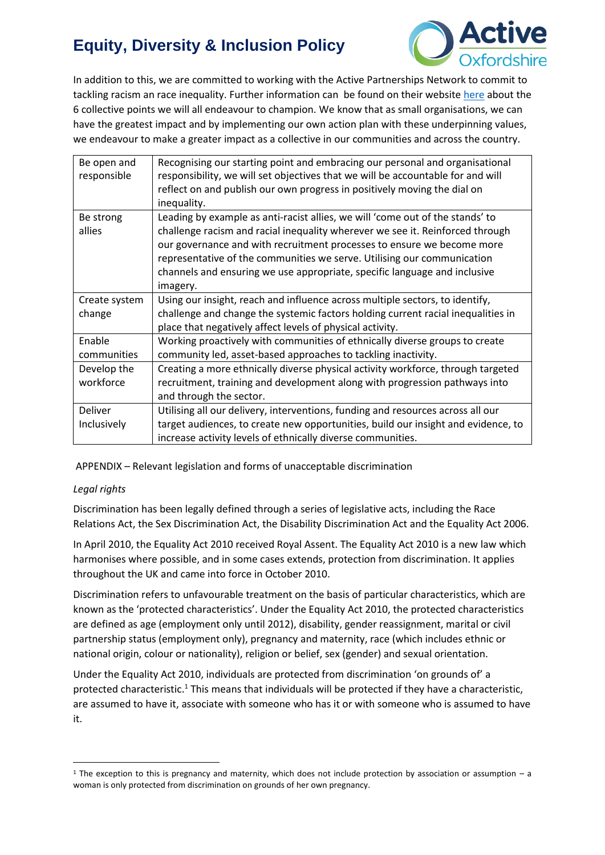

In addition to this, we are committed to working with the Active Partnerships Network to commit to tackling racism an race inequality. Further information can be found on their website [here](https://www.activepartnerships.org/system/files/2677-ACTIVE-PARTNERSHIPS-RACIAL-EQUALITY-COMITTMENT-FLYER_0321_online-final3_0-1.pdf) about the 6 collective points we will all endeavour to champion. We know that as small organisations, we can have the greatest impact and by implementing our own action plan with these underpinning values, we endeavour to make a greater impact as a collective in our communities and across the country.

| Be open and<br>responsible | Recognising our starting point and embracing our personal and organisational<br>responsibility, we will set objectives that we will be accountable for and will<br>reflect on and publish our own progress in positively moving the dial on<br>inequality. |
|----------------------------|------------------------------------------------------------------------------------------------------------------------------------------------------------------------------------------------------------------------------------------------------------|
| Be strong                  | Leading by example as anti-racist allies, we will 'come out of the stands' to                                                                                                                                                                              |
| allies                     | challenge racism and racial inequality wherever we see it. Reinforced through                                                                                                                                                                              |
|                            | our governance and with recruitment processes to ensure we become more                                                                                                                                                                                     |
|                            | representative of the communities we serve. Utilising our communication                                                                                                                                                                                    |
|                            | channels and ensuring we use appropriate, specific language and inclusive                                                                                                                                                                                  |
|                            | imagery.                                                                                                                                                                                                                                                   |
| Create system              | Using our insight, reach and influence across multiple sectors, to identify,                                                                                                                                                                               |
| change                     | challenge and change the systemic factors holding current racial inequalities in                                                                                                                                                                           |
|                            | place that negatively affect levels of physical activity.                                                                                                                                                                                                  |
| Enable                     | Working proactively with communities of ethnically diverse groups to create                                                                                                                                                                                |
| communities                | community led, asset-based approaches to tackling inactivity.                                                                                                                                                                                              |
| Develop the                | Creating a more ethnically diverse physical activity workforce, through targeted                                                                                                                                                                           |
| workforce                  | recruitment, training and development along with progression pathways into                                                                                                                                                                                 |
|                            | and through the sector.                                                                                                                                                                                                                                    |
| Deliver                    | Utilising all our delivery, interventions, funding and resources across all our                                                                                                                                                                            |
| Inclusively                | target audiences, to create new opportunities, build our insight and evidence, to                                                                                                                                                                          |
|                            | increase activity levels of ethnically diverse communities.                                                                                                                                                                                                |

APPENDIX – Relevant legislation and forms of unacceptable discrimination

# *Legal rights*

Discrimination has been legally defined through a series of legislative acts, including the Race Relations Act, the Sex Discrimination Act, the Disability Discrimination Act and the Equality Act 2006.

In April 2010, the Equality Act 2010 received Royal Assent. The Equality Act 2010 is a new law which harmonises where possible, and in some cases extends, protection from discrimination. It applies throughout the UK and came into force in October 2010.

Discrimination refers to unfavourable treatment on the basis of particular characteristics, which are known as the 'protected characteristics'. Under the Equality Act 2010, the protected characteristics are defined as age (employment only until 2012), disability, gender reassignment, marital or civil partnership status (employment only), pregnancy and maternity, race (which includes ethnic or national origin, colour or nationality), religion or belief, sex (gender) and sexual orientation.

Under the Equality Act 2010, individuals are protected from discrimination 'on grounds of' a protected characteristic.<sup>1</sup> This means that individuals will be protected if they have a characteristic, are assumed to have it, associate with someone who has it or with someone who is assumed to have it.

 $1$  The exception to this is pregnancy and maternity, which does not include protection by association or assumption – a woman is only protected from discrimination on grounds of her own pregnancy.